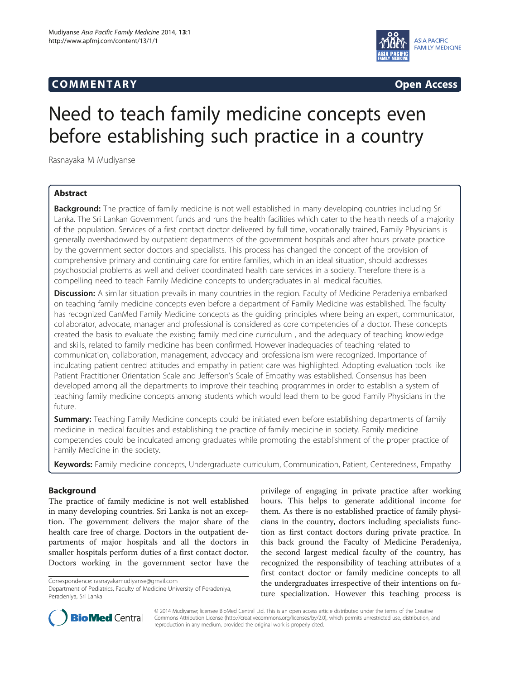# COMM EN TARY Open Access



# Need to teach family medicine concepts even before establishing such practice in a country

Rasnayaka M Mudiyanse

# Abstract

**Background:** The practice of family medicine is not well established in many developing countries including Sri Lanka. The Sri Lankan Government funds and runs the health facilities which cater to the health needs of a majority of the population. Services of a first contact doctor delivered by full time, vocationally trained, Family Physicians is generally overshadowed by outpatient departments of the government hospitals and after hours private practice by the government sector doctors and specialists. This process has changed the concept of the provision of comprehensive primary and continuing care for entire families, which in an ideal situation, should addresses psychosocial problems as well and deliver coordinated health care services in a society. Therefore there is a compelling need to teach Family Medicine concepts to undergraduates in all medical faculties.

Discussion: A similar situation prevails in many countries in the region. Faculty of Medicine Peradeniya embarked on teaching family medicine concepts even before a department of Family Medicine was established. The faculty has recognized CanMed Family Medicine concepts as the guiding principles where being an expert, communicator, collaborator, advocate, manager and professional is considered as core competencies of a doctor. These concepts created the basis to evaluate the existing family medicine curriculum , and the adequacy of teaching knowledge and skills, related to family medicine has been confirmed. However inadequacies of teaching related to communication, collaboration, management, advocacy and professionalism were recognized. Importance of inculcating patient centred attitudes and empathy in patient care was highlighted. Adopting evaluation tools like Patient Practitioner Orientation Scale and Jefferson's Scale of Empathy was established. Consensus has been developed among all the departments to improve their teaching programmes in order to establish a system of teaching family medicine concepts among students which would lead them to be good Family Physicians in the future.

**Summary:** Teaching Family Medicine concepts could be initiated even before establishing departments of family medicine in medical faculties and establishing the practice of family medicine in society. Family medicine competencies could be inculcated among graduates while promoting the establishment of the proper practice of Family Medicine in the society.

Keywords: Family medicine concepts, Undergraduate curriculum, Communication, Patient, Centeredness, Empathy

# Background

The practice of family medicine is not well established in many developing countries. Sri Lanka is not an exception. The government delivers the major share of the health care free of charge. Doctors in the outpatient departments of major hospitals and all the doctors in smaller hospitals perform duties of a first contact doctor. Doctors working in the government sector have the

Correspondence: [rasnayakamudiyanse@gmail.com](mailto:rasnayakamudiyanse@gmail.com)

privilege of engaging in private practice after working hours. This helps to generate additional income for them. As there is no established practice of family physicians in the country, doctors including specialists function as first contact doctors during private practice. In this back ground the Faculty of Medicine Peradeniya, the second largest medical faculty of the country, has recognized the responsibility of teaching attributes of a first contact doctor or family medicine concepts to all the undergraduates irrespective of their intentions on future specialization. However this teaching process is



© 2014 Mudiyanse; licensee BioMed Central Ltd. This is an open access article distributed under the terms of the Creative Commons Attribution License [\(http://creativecommons.org/licenses/by/2.0\)](http://creativecommons.org/licenses/by/2.0), which permits unrestricted use, distribution, and reproduction in any medium, provided the original work is properly cited.

Department of Pediatrics, Faculty of Medicine University of Peradeniya, Peradeniya, Sri Lanka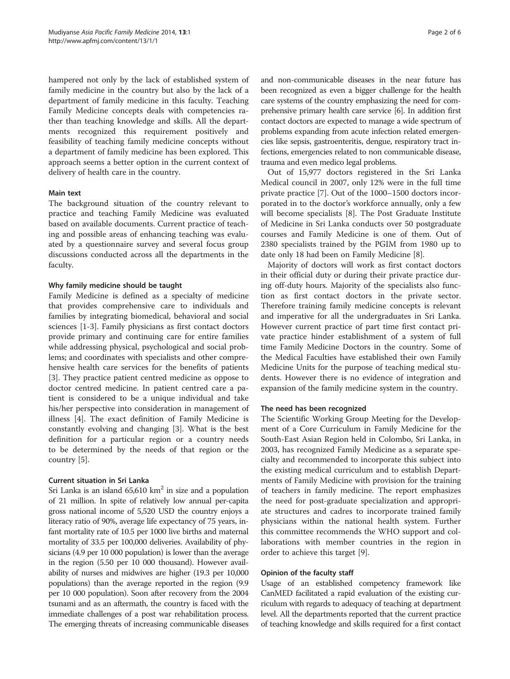hampered not only by the lack of established system of family medicine in the country but also by the lack of a department of family medicine in this faculty. Teaching Family Medicine concepts deals with competencies rather than teaching knowledge and skills. All the departments recognized this requirement positively and feasibility of teaching family medicine concepts without a department of family medicine has been explored. This approach seems a better option in the current context of delivery of health care in the country.

#### Main text

The background situation of the country relevant to practice and teaching Family Medicine was evaluated based on available documents. Current practice of teaching and possible areas of enhancing teaching was evaluated by a questionnaire survey and several focus group discussions conducted across all the departments in the faculty.

#### Why family medicine should be taught

Family Medicine is defined as a specialty of medicine that provides comprehensive care to individuals and families by integrating biomedical, behavioral and social sciences [[1-3\]](#page-4-0). Family physicians as first contact doctors provide primary and continuing care for entire families while addressing physical, psychological and social problems; and coordinates with specialists and other comprehensive health care services for the benefits of patients [[3\]](#page-4-0). They practice patient centred medicine as oppose to doctor centred medicine. In patient centred care a patient is considered to be a unique individual and take his/her perspective into consideration in management of illness [[4\]](#page-4-0). The exact definition of Family Medicine is constantly evolving and changing [[3\]](#page-4-0). What is the best definition for a particular region or a country needs to be determined by the needs of that region or the country [\[5](#page-4-0)].

#### Current situation in Sri Lanka

Sri Lanka is an island  $65,610 \text{ km}^2$  in size and a population of 21 million. In spite of relatively low annual per-capita gross national income of 5,520 USD the country enjoys a literacy ratio of 90%, average life expectancy of 75 years, infant mortality rate of 10.5 per 1000 live births and maternal mortality of 33.5 per 100,000 deliveries. Availability of physicians (4.9 per 10 000 population) is lower than the average in the region (5.50 per 10 000 thousand). However availability of nurses and midwives are higher (19.3 per 10,000 populations) than the average reported in the region (9.9 per 10 000 population). Soon after recovery from the 2004 tsunami and as an aftermath, the country is faced with the immediate challenges of a post war rehabilitation process. The emerging threats of increasing communicable diseases and non-communicable diseases in the near future has been recognized as even a bigger challenge for the health care systems of the country emphasizing the need for comprehensive primary health care service [\[6](#page-4-0)]. In addition first contact doctors are expected to manage a wide spectrum of problems expanding from acute infection related emergencies like sepsis, gastroenteritis, dengue, respiratory tract infections, emergencies related to non communicable disease, trauma and even medico legal problems.

Out of 15,977 doctors registered in the Sri Lanka Medical council in 2007, only 12% were in the full time private practice [[7\]](#page-4-0). Out of the 1000–1500 doctors incorporated in to the doctor's workforce annually, only a few will become specialists [[8\]](#page-4-0). The Post Graduate Institute of Medicine in Sri Lanka conducts over 50 postgraduate courses and Family Medicine is one of them. Out of 2380 specialists trained by the PGIM from 1980 up to date only 18 had been on Family Medicine [[8\]](#page-4-0).

Majority of doctors will work as first contact doctors in their official duty or during their private practice during off-duty hours. Majority of the specialists also function as first contact doctors in the private sector. Therefore training family medicine concepts is relevant and imperative for all the undergraduates in Sri Lanka. However current practice of part time first contact private practice hinder establishment of a system of full time Family Medicine Doctors in the country. Some of the Medical Faculties have established their own Family Medicine Units for the purpose of teaching medical students. However there is no evidence of integration and expansion of the family medicine system in the country.

#### The need has been recognized

The Scientific Working Group Meeting for the Development of a Core Curriculum in Family Medicine for the South-East Asian Region held in Colombo, Sri Lanka, in 2003, has recognized Family Medicine as a separate specialty and recommended to incorporate this subject into the existing medical curriculum and to establish Departments of Family Medicine with provision for the training of teachers in family medicine. The report emphasizes the need for post-graduate specialization and appropriate structures and cadres to incorporate trained family physicians within the national health system. Further this committee recommends the WHO support and collaborations with member countries in the region in order to achieve this target [\[9](#page-4-0)].

#### Opinion of the faculty staff

Usage of an established competency framework like CanMED facilitated a rapid evaluation of the existing curriculum with regards to adequacy of teaching at department level. All the departments reported that the current practice of teaching knowledge and skills required for a first contact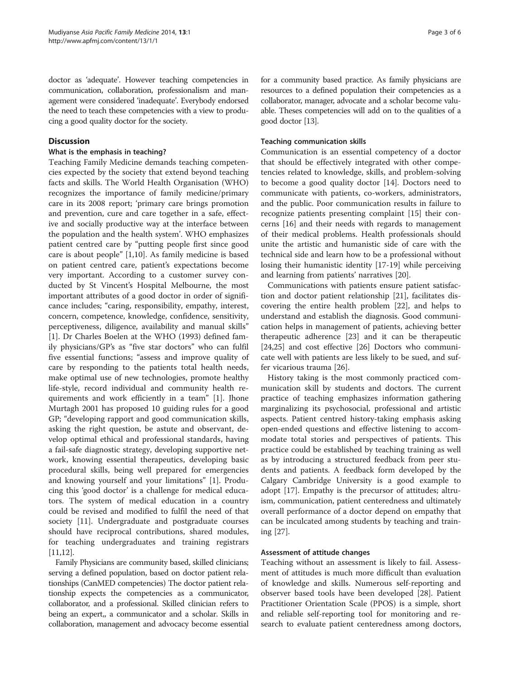doctor as 'adequate'. However teaching competencies in communication, collaboration, professionalism and management were considered 'inadequate'. Everybody endorsed the need to teach these competencies with a view to producing a good quality doctor for the society.

# **Discussion**

#### What is the emphasis in teaching?

Teaching Family Medicine demands teaching competencies expected by the society that extend beyond teaching facts and skills. The World Health Organisation (WHO) recognizes the importance of family medicine/primary care in its 2008 report; 'primary care brings promotion and prevention, cure and care together in a safe, effective and socially productive way at the interface between the population and the health system'. WHO emphasizes patient centred care by "putting people first since good care is about people" [[1,10\]](#page-4-0). As family medicine is based on patient centred care, patient's expectations become very important. According to a customer survey conducted by St Vincent's Hospital Melbourne, the most important attributes of a good doctor in order of significance includes; "caring, responsibility, empathy, interest, concern, competence, knowledge, confidence, sensitivity, perceptiveness, diligence, availability and manual skills" [[1\]](#page-4-0). Dr Charles Boelen at the WHO (1993) defined family physicians/GP's as "five star doctors" who can fulfil five essential functions; "assess and improve quality of care by responding to the patients total health needs, make optimal use of new technologies, promote healthy life-style, record individual and community health requirements and work efficiently in a team" [\[1\]](#page-4-0). Jhone Murtagh 2001 has proposed 10 guiding rules for a good GP; "developing rapport and good communication skills, asking the right question, be astute and observant, develop optimal ethical and professional standards, having a fail-safe diagnostic strategy, developing supportive network, knowing essential therapeutics, developing basic procedural skills, being well prepared for emergencies and knowing yourself and your limitations" [[1\]](#page-4-0). Producing this 'good doctor' is a challenge for medical educators. The system of medical education in a country could be revised and modified to fulfil the need of that society [\[11](#page-4-0)]. Undergraduate and postgraduate courses should have reciprocal contributions, shared modules, for teaching undergraduates and training registrars [[11,12\]](#page-4-0).

Family Physicians are community based, skilled clinicians; serving a defined population, based on doctor patient relationships (CanMED competencies) The doctor patient relationship expects the competencies as a communicator, collaborator, and a professional. Skilled clinician refers to being an expert,, a communicator and a scholar. Skills in collaboration, management and advocacy become essential

for a community based practice. As family physicians are resources to a defined population their competencies as a collaborator, manager, advocate and a scholar become valuable. Theses competencies will add on to the qualities of a good doctor [\[13](#page-4-0)].

# Teaching communication skills

Communication is an essential competency of a doctor that should be effectively integrated with other competencies related to knowledge, skills, and problem-solving to become a good quality doctor [\[14\]](#page-4-0). Doctors need to communicate with patients, co-workers, administrators, and the public. Poor communication results in failure to recognize patients presenting complaint [[15](#page-4-0)] their concerns [\[16](#page-4-0)] and their needs with regards to management of their medical problems. Health professionals should unite the artistic and humanistic side of care with the technical side and learn how to be a professional without losing their humanistic identity [[17](#page-4-0)-[19\]](#page-4-0) while perceiving and learning from patients' narratives [[20\]](#page-4-0).

Communications with patients ensure patient satisfaction and doctor patient relationship [\[21\]](#page-4-0), facilitates discovering the entire health problem [[22\]](#page-4-0), and helps to understand and establish the diagnosis. Good communication helps in management of patients, achieving better therapeutic adherence [[23\]](#page-4-0) and it can be therapeutic [[24,25\]](#page-4-0) and cost effective [\[26](#page-4-0)] Doctors who communicate well with patients are less likely to be sued, and suffer vicarious trauma [\[26](#page-4-0)].

History taking is the most commonly practiced communication skill by students and doctors. The current practice of teaching emphasizes information gathering marginalizing its psychosocial, professional and artistic aspects. Patient centred history-taking emphasis asking open-ended questions and effective listening to accommodate total stories and perspectives of patients. This practice could be established by teaching training as well as by introducing a structured feedback from peer students and patients. A feedback form developed by the Calgary Cambridge University is a good example to adopt [[17\]](#page-4-0). Empathy is the precursor of attitudes; altruism, communication, patient centeredness and ultimately overall performance of a doctor depend on empathy that can be inculcated among students by teaching and training [\[27](#page-4-0)].

# Assessment of attitude changes

Teaching without an assessment is likely to fail. Assessment of attitudes is much more difficult than evaluation of knowledge and skills. Numerous self-reporting and observer based tools have been developed [[28](#page-4-0)]. Patient Practitioner Orientation Scale (PPOS) is a simple, short and reliable self-reporting tool for monitoring and research to evaluate patient centeredness among doctors,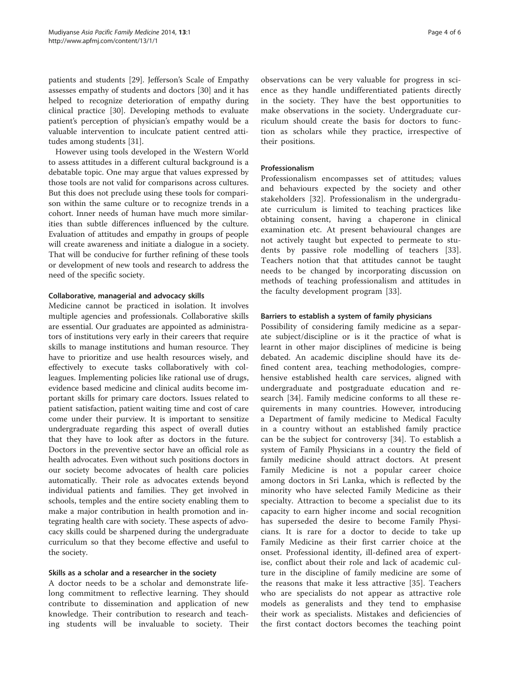patients and students [[29](#page-4-0)]. Jefferson's Scale of Empathy assesses empathy of students and doctors [[30\]](#page-4-0) and it has helped to recognize deterioration of empathy during clinical practice [\[30](#page-4-0)]. Developing methods to evaluate patient's perception of physician's empathy would be a valuable intervention to inculcate patient centred attitudes among students [[31\]](#page-4-0).

However using tools developed in the Western World to assess attitudes in a different cultural background is a debatable topic. One may argue that values expressed by those tools are not valid for comparisons across cultures. But this does not preclude using these tools for comparison within the same culture or to recognize trends in a cohort. Inner needs of human have much more similarities than subtle differences influenced by the culture. Evaluation of attitudes and empathy in groups of people will create awareness and initiate a dialogue in a society. That will be conducive for further refining of these tools or development of new tools and research to address the need of the specific society.

#### Collaborative, managerial and advocacy skills

Medicine cannot be practiced in isolation. It involves multiple agencies and professionals. Collaborative skills are essential. Our graduates are appointed as administrators of institutions very early in their careers that require skills to manage institutions and human resource. They have to prioritize and use health resources wisely, and effectively to execute tasks collaboratively with colleagues. Implementing policies like rational use of drugs, evidence based medicine and clinical audits become important skills for primary care doctors. Issues related to patient satisfaction, patient waiting time and cost of care come under their purview. It is important to sensitize undergraduate regarding this aspect of overall duties that they have to look after as doctors in the future. Doctors in the preventive sector have an official role as health advocates. Even without such positions doctors in our society become advocates of health care policies automatically. Their role as advocates extends beyond individual patients and families. They get involved in schools, temples and the entire society enabling them to make a major contribution in health promotion and integrating health care with society. These aspects of advocacy skills could be sharpened during the undergraduate curriculum so that they become effective and useful to the society.

#### Skills as a scholar and a researcher in the society

A doctor needs to be a scholar and demonstrate lifelong commitment to reflective learning. They should contribute to dissemination and application of new knowledge. Their contribution to research and teaching students will be invaluable to society. Their

observations can be very valuable for progress in science as they handle undifferentiated patients directly in the society. They have the best opportunities to make observations in the society. Undergraduate curriculum should create the basis for doctors to function as scholars while they practice, irrespective of their positions.

# Professionalism

Professionalism encompasses set of attitudes; values and behaviours expected by the society and other stakeholders [[32\]](#page-4-0). Professionalism in the undergraduate curriculum is limited to teaching practices like obtaining consent, having a chaperone in clinical examination etc. At present behavioural changes are not actively taught but expected to permeate to students by passive role modelling of teachers [\[33](#page-4-0)]. Teachers notion that that attitudes cannot be taught needs to be changed by incorporating discussion on methods of teaching professionalism and attitudes in the faculty development program [[33\]](#page-4-0).

#### Barriers to establish a system of family physicians

Possibility of considering family medicine as a separate subject/discipline or is it the practice of what is learnt in other major disciplines of medicine is being debated. An academic discipline should have its defined content area, teaching methodologies, comprehensive established health care services, aligned with undergraduate and postgraduate education and research [[34\]](#page-5-0). Family medicine conforms to all these requirements in many countries. However, introducing a Department of family medicine to Medical Faculty in a country without an established family practice can be the subject for controversy [[34](#page-5-0)]. To establish a system of Family Physicians in a country the field of family medicine should attract doctors. At present Family Medicine is not a popular career choice among doctors in Sri Lanka, which is reflected by the minority who have selected Family Medicine as their specialty. Attraction to become a specialist due to its capacity to earn higher income and social recognition has superseded the desire to become Family Physicians. It is rare for a doctor to decide to take up Family Medicine as their first carrier choice at the onset. Professional identity, ill-defined area of expertise, conflict about their role and lack of academic culture in the discipline of family medicine are some of the reasons that make it less attractive [\[35](#page-5-0)]. Teachers who are specialists do not appear as attractive role models as generalists and they tend to emphasise their work as specialists. Mistakes and deficiencies of the first contact doctors becomes the teaching point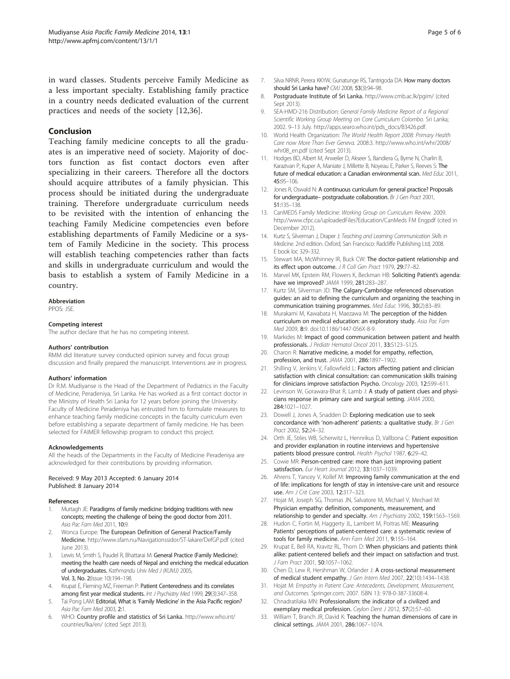<span id="page-4-0"></span>in ward classes. Students perceive Family Medicine as a less important specialty. Establishing family practice in a country needs dedicated evaluation of the current practices and needs of the society [12[,36](#page-5-0)].

#### Conclusion

Teaching family medicine concepts to all the graduates is an imperative need of society. Majority of doctors function as fist contact doctors even after specializing in their careers. Therefore all the doctors should acquire attributes of a family physician. This process should be initiated during the undergraduate training. Therefore undergraduate curriculum needs to be revisited with the intention of enhancing the teaching Family Medicine competencies even before establishing departments of Family Medicine or a system of Family Medicine in the society. This process will establish teaching competencies rather than facts and skills in undergraduate curriculum and would the basis to establish a system of Family Medicine in a country.

# Abbreviation

PPOS: JSE.

#### Competing interest

The author declare that he has no competing interest.

#### Authors' contribution

RMM did literature survey conducted opinion survey and focus group discussion and finally prepared the manuscript. Interventions are in progress.

#### Authors' information

Dr R.M. Mudiyanse is the Head of the Department of Pediatrics in the Faculty of Medicine, Peradeniya, Sri Lanka. He has worked as a first contact doctor in the Ministry of Health Sri Lanka for 12 years before joining the University. Faculty of Medicine Peradeniya has entrusted him to formulate measures to enhance teaching family medicine concepts in the faculty curriculum even before establishing a separate department of family medicine. He has been selected for FAIMER fellowship program to conduct this project.

#### Acknowledgements

All the heads of the Departments in the Faculty of Medicine Peradeniya are acknowledged for their contributions by providing information.

#### Received: 9 May 2013 Accepted: 6 January 2014 Published: 8 January 2014

#### References

- 1. Murtagh JE: Paradigms of family medicine: bridging traditions with new concepts; meeting the challenge of being the good doctor from 2011. Asia Pac Fam Med 2011, 10:9.
- Wonca Europe: The European Definition of General Practice/Family Medicine. <http://www.sfam.nu/Navigationssidor/ST-lakare/DefGP.pdf> (cited June 2013).
- 3. Lewis M, Smith S, Paudel R, Bhattarai M: General Practice (Family Medicine): meeting the health care needs of Nepal and enriching the medical education of undergraduates. Kathmandu Univ Med J (KUMJ) 2005, Vol. 3, No. 2(Issue 10):194–198.
- 4. Krupat E, Fleming MZ, Freeman P: Patient Centeredness and its correlates among first year medical students. Int J Psychiatry Med 1999, 29(3):347-358.
- Tai Pong LAM: Editorial, What is 'Family Medicine' in the Asia Pacific region? Asia Pac Fam Med 2003, 2:1.
- 6. WHO: Country profile and statistics of Sri Lanka. [http://www.who.int/](http://www.who.int/countries/lka/en/) [countries/lka/en/](http://www.who.int/countries/lka/en/) (cited Sept 2013).
- 7. Silva NRNR, Perera KKYW, Gunatunge RS, Tantrigoda DA: How many doctors should Sri Lanka have? CMJ 2008, 53(3):94–98.
- 8. Postgraduate Institute of Sri Lanka. <http://www.cmb.ac.lk/pgim/> (cited Sept 2013).
- 9. SEA-HMD-216 Distribution: General Family Medicine Report of a Regional Scientific Working Group Meeting on Core Curriculum Colombo. Sri Lanka; 2002. 9–13 July. http://apps.searo.who.int/pds\_docs/B3426.pdf.
- 10. World Health Organization: The World Health Report 2008: Primary Health Care now More Than Ever Geneva. 2008:3. [http://www.who.int/whr/2008/](http://www.who.int/whr/2008/whr08_en.pdf) whr08 en.pdf (cited Sept 2013).
- 11. Hodges BD, Albert M, Arweiler D, Akseer S, Bandiera G, Byrne N, Charlin B, Karazivan P, Kuper A, Maniate J, Millette B, Noyeau E, Parker S, Reeves S: The future of medical education: a Canadian environmental scan. Med Educ 2011, 45:95–106.
- 12. Jones R, Oswald N: A continuous curriculum for general practice? Proposals for undergraduate– postgraduate collaboration. Br J Gen Pract 2001, 51:135–138.
- 13. CanMEDS Family Medicine: Working Group on Curriculum Review. 2009. <http://www.cfpc.ca/uploadedFiles?Education/CanMeds> FM Engpdf (cited in December 2012).
- 14. Kurtz S, Silverman J, Draper J: Teaching and Learning Communication Skills in Medicine. 2nd edition. Oxford, San Francisco: Radcliffe Publishing Ltd; 2008. E book loc 329–332.
- 15. Stewart MA, McWhinney IR, Buck CW: The doctor-patient relationship and its effect upon outcome. J R Coll Gen Pract 1979, 29:77–82.
- 16. Marvel MK, Epstein RM, Flowers K, Beckman HB: Soliciting Patient's agenda: have we improved? JAMA 1999, 281:283–287.
- 17. Kurtz SM, Silverman JD: The Calgary-Cambridge referenced observation guides: an aid to defining the curriculum and organizing the teaching in communication training programmes. Med Educ 1996, 30(2):83–89.
- 18. Murakami M, Kawabata H, Maezawa M: The perception of the hidden curriculum on medical education: an exploratory study. Asia Pac Fam Med 2009, 8:9. doi:10.1186/1447-056X-8-9.
- 19. Markides M: Impact of good communication between patient and health professionals. J Pediatr Hematol Oncol 2011, 33:S123–S125.
- 20. Charon R: Narrative medicine, a model for empathy, reflection, profession, and trust. JAMA 2001, 286:1897–1902.
- 21. Shilling V, Jenkins V, Fallowfield L: Factors affecting patient and clinician satisfaction with clinical consultation: can communication skills training for clinicians improve satisfaction Psycho. Oncology 2003, 12:599–611.
- 22. Levinson W, Gorawara-Bhat R, Lamb J: A study of patient clues and physicians response in primary care and surgical setting. JAMA 2000, 284:1021–1027.
- 23. Dowell J, Jones A, Snadden D: Exploring medication use to seek concordance with 'non-adherent' patients: a qualitative study. Br J Gen Pract 2002, 52:24–32.
- 24. Orth JE, Stiles WB, Scherwitz L, Hennrikus D, Vallbona C: Patient exposition and provider explanation in routine interviews and hypertensive patients blood pressure control. Health Psychol 1987, 6:29-42.
- 25. Cowie MR: Person-centred care: more than just improving patient satisfaction. Eur Heart Journal 2012, 33:1037–1039.
- 26. Ahrens T, Yancey V, Kollef M: Improving family communication at the end of life: implications for length of stay in intensive-care unit and resource use. Am J Crit Care 2003, 12:317–323.
- 27. Hojat M, Joseph SG, Thomas JN, Salvatore M, Michael V, Mechael M: Physician empathy: definition, components, measurement, and relationship to gender and specialty. Am J Psychiatry 2002, 159:1563-1569.
- 28. Hudon C, Fortin M, Haggerty JL, Lambert M, Poitras ME: Measuring Patients' perceptions of patient-centered care: a systematic review of tools for family medicine. Ann Fam Med 2011, 9:155–164.
- 29. Krupat E, Bell RA, Kravitz RL, Thom D: When physicians and patients think alike: patient-centered beliefs and their impact on satisfaction and trust. J Fam Pract 2001, 50:1057–1062.
- 30. Chen D, Lew R, Hershman W, Orlander J: A cross-sectional measurement of medical student empathy. J Gen Intern Med 2007, 22(10):1434–1438.
- 31. Hojat M: Empathy in Patient Care: Antecedents, Development, Measurement, and Outcomes. Springer.com; 2007. ISBN 13: 978-0-387-33608-4.
- 32. Chnadratilaka MN: Professionalism: the indicator of a civilized and exemplary medical profession. Ceylon Dent J 2012, 57(2):57-60.
- 33. William T, Branch JR, David K: Teaching the human dimensions of care in clinical settings. JAMA 2001, 286:1067–1074.